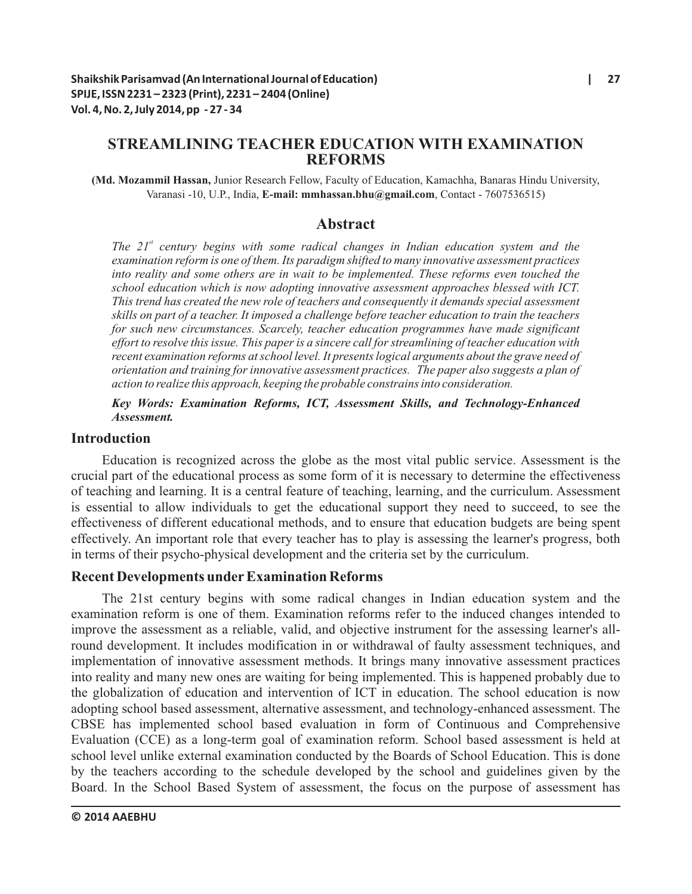# **STREAMLINING TEACHER EDUCATION WITH EXAMINATION REFORMS**

**(Md. Mozammil Hassan,** Junior Research Fellow, Faculty of Education, Kamachha, Banaras Hindu University, Varanasi -10, U.P., India, **E-mail: mmhassan.bhu@gmail.com**, Contact - 7607536515)

### **Abstract**

*st The 21 century begins with some radical changes in Indian education system and the examination reform is one of them. Its paradigm shifted to many innovative assessment practices into reality and some others are in wait to be implemented. These reforms even touched the school education which is now adopting innovative assessment approaches blessed with ICT. This trend has created the new role of teachers and consequently it demands special assessment skills on part of a teacher. It imposed a challenge before teacher education to train the teachers for such new circumstances. Scarcely, teacher education programmes have made significant effort to resolve this issue. This paper is a sincere call for streamlining of teacher education with recent examination reforms at school level. It presents logical arguments about the grave need of orientation and training for innovative assessment practices. The paper also suggests a plan of action to realize this approach, keeping the probable constrains into consideration.* 

### *Key Words: Examination Reforms, ICT, Assessment Skills, and Technology-Enhanced Assessment.*

### **Introduction**

Education is recognized across the globe as the most vital public service. Assessment is the crucial part of the educational process as some form of it is necessary to determine the effectiveness of teaching and learning. It is a central feature of teaching, learning, and the curriculum. Assessment is essential to allow individuals to get the educational support they need to succeed, to see the effectiveness of different educational methods, and to ensure that education budgets are being spent effectively. An important role that every teacher has to play is assessing the learner's progress, both in terms of their psycho-physical development and the criteria set by the curriculum.

### **Recent Developments underExamination Reforms**

The 21st century begins with some radical changes in Indian education system and the examination reform is one of them. Examination reforms refer to the induced changes intended to improve the assessment as a reliable, valid, and objective instrument for the assessing learner's allround development. It includes modification in or withdrawal of faulty assessment techniques, and implementation of innovative assessment methods. It brings many innovative assessment practices into reality and many new ones are waiting for being implemented. This is happened probably due to the globalization of education and intervention of ICT in education. The school education is now adopting school based assessment, alternative assessment, and technology-enhanced assessment. The CBSE has implemented school based evaluation in form of Continuous and Comprehensive Evaluation (CCE) as a long-term goal of examination reform. School based assessment is held at school level unlike external examination conducted by the Boards of School Education. This is done by the teachers according to the schedule developed by the school and guidelines given by the Board. In the School Based System of assessment, the focus on the purpose of assessment has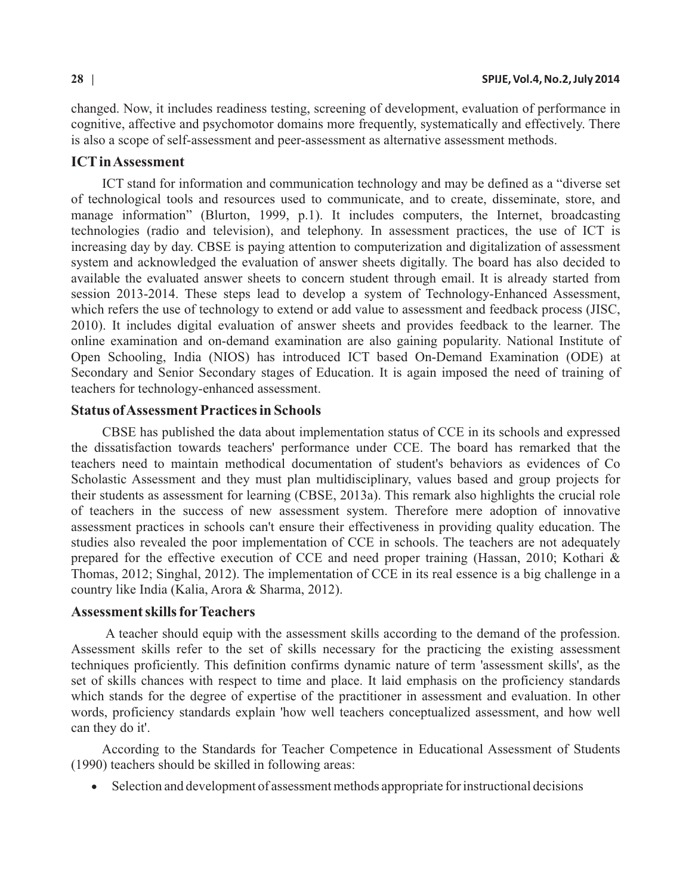changed. Now, it includes readiness testing, screening of development, evaluation of performance in cognitive, affective and psychomotor domains more frequently, systematically and effectively. There is also a scope of self-assessment and peer-assessment as alternative assessment methods.

#### **ICTin Assessment**

ICT stand for information and communication technology and may be defined as a "diverse set of technological tools and resources used to communicate, and to create, disseminate, store, and manage information" (Blurton, 1999, p.1). It includes computers, the Internet, broadcasting technologies (radio and television), and telephony. In assessment practices, the use of ICT is increasing day by day. CBSE is paying attention to computerization and digitalization of assessment system and acknowledged the evaluation of answer sheets digitally. The board has also decided to available the evaluated answer sheets to concern student through email. It is already started from session 2013-2014. These steps lead to develop a system of Technology-Enhanced Assessment, which refers the use of technology to extend or add value to assessment and feedback process (JISC, 2010). It includes digital evaluation of answer sheets and provides feedback to the learner. The online examination and on-demand examination are also gaining popularity. National Institute of Open Schooling, India (NIOS) has introduced ICT based On-Demand Examination (ODE) at Secondary and Senior Secondary stages of Education. It is again imposed the need of training of teachers for technology-enhanced assessment.

## **Status of Assessment Practices in Schools**

CBSE has published the data about implementation status of CCE in its schools and expressed the dissatisfaction towards teachers' performance under CCE. The board has remarked that the teachers need to maintain methodical documentation of student's behaviors as evidences of Co Scholastic Assessment and they must plan multidisciplinary, values based and group projects for their students as assessment for learning (CBSE, 2013a). This remark also highlights the crucial role of teachers in the success of new assessment system. Therefore mere adoption of innovative assessment practices in schools can't ensure their effectiveness in providing quality education. The studies also revealed the poor implementation of CCE in schools. The teachers are not adequately prepared for the effective execution of CCE and need proper training (Hassan, 2010; Kothari & Thomas, 2012; Singhal, 2012). The implementation of CCE in its real essence is a big challenge in a country like India (Kalia, Arora & Sharma, 2012).

#### **Assessment skills forTeachers**

A teacher should equip with the assessment skills according to the demand of the profession. Assessment skills refer to the set of skills necessary for the practicing the existing assessment techniques proficiently. This definition confirms dynamic nature of term 'assessment skills', as the set of skills chances with respect to time and place. It laid emphasis on the proficiency standards which stands for the degree of expertise of the practitioner in assessment and evaluation. In other words, proficiency standards explain 'how well teachers conceptualized assessment, and how well can they do it'.

According to the Standards for Teacher Competence in Educational Assessment of Students (1990) teachers should be skilled in following areas:

• Selection and development of assessment methods appropriate for instructional decisions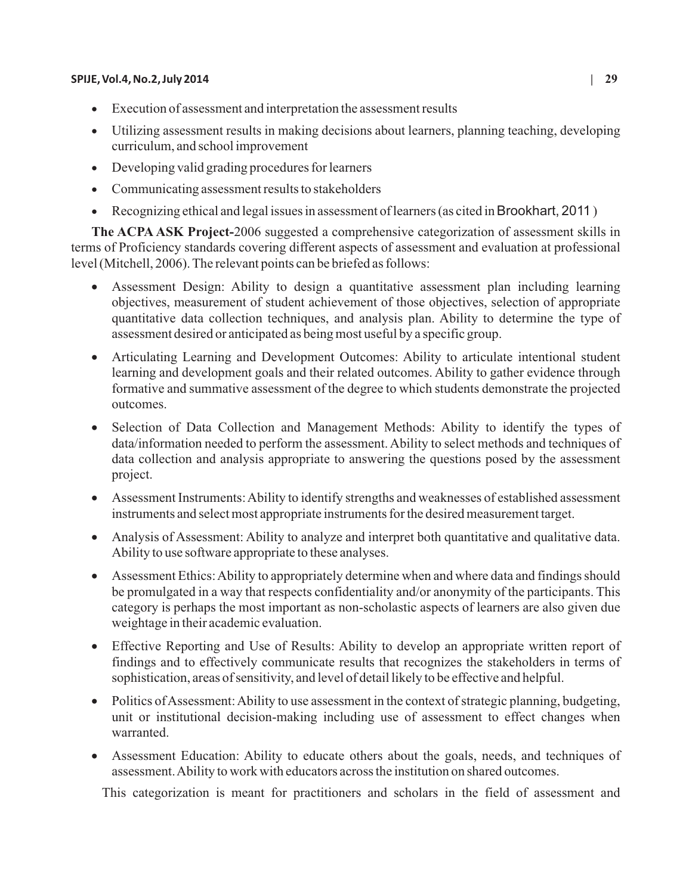#### **SPIJE, Vol.4, No.2, July 2014 | 29**

- ·Execution of assessment and interpretation the assessment results
- ·Utilizing assessment results in making decisions about learners, planning teaching, developing curriculum, and school improvement
- ·Developing valid grading procedures for learners
- Communicating assessment results to stakeholders
- ·Recognizing ethical and legal issues in assessment of learners (as cited in Brookhart, 2011 )

**The ACPA ASK Project-**2006 suggested a comprehensive categorization of assessment skills in terms of Proficiency standards covering different aspects of assessment and evaluation at professional level (Mitchell, 2006). The relevant points can be briefed as follows:

- Assessment Design: Ability to design a quantitative assessment plan including learning objectives, measurement of student achievement of those objectives, selection of appropriate quantitative data collection techniques, and analysis plan. Ability to determine the type of assessment desired or anticipated as being most useful by a specific group.
- Articulating Learning and Development Outcomes: Ability to articulate intentional student learning and development goals and their related outcomes. Ability to gather evidence through formative and summative assessment of the degree to which students demonstrate the projected outcomes.
- Selection of Data Collection and Management Methods: Ability to identify the types of data/information needed to perform the assessment. Ability to select methods and techniques of data collection and analysis appropriate to answering the questions posed by the assessment project.
- ·Assessment Instruments: Ability to identify strengths and weaknesses of established assessment instruments and select most appropriate instruments for the desired measurement target.
- Analysis of Assessment: Ability to analyze and interpret both quantitative and qualitative data. Ability to use software appropriate to these analyses.
- Assessment Ethics: Ability to appropriately determine when and where data and findings should be promulgated in a way that respects confidentiality and/or anonymity of the participants. This category is perhaps the most important as non-scholastic aspects of learners are also given due weightage in their academic evaluation.
- Effective Reporting and Use of Results: Ability to develop an appropriate written report of findings and to effectively communicate results that recognizes the stakeholders in terms of sophistication, areas of sensitivity, and level of detail likely to be effective and helpful.
- Politics of Assessment: Ability to use assessment in the context of strategic planning, budgeting, unit or institutional decision-making including use of assessment to effect changes when warranted.
- Assessment Education: Ability to educate others about the goals, needs, and techniques of assessment. Ability to work with educators across the institution on shared outcomes.

This categorization is meant for practitioners and scholars in the field of assessment and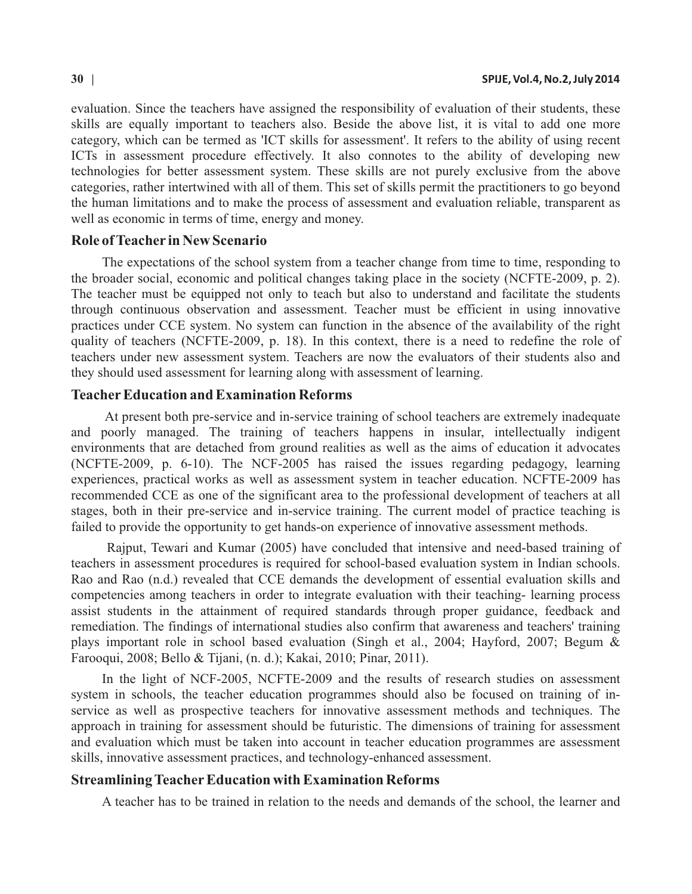evaluation. Since the teachers have assigned the responsibility of evaluation of their students, these skills are equally important to teachers also. Beside the above list, it is vital to add one more category, which can be termed as 'ICT skills for assessment'. It refers to the ability of using recent ICTs in assessment procedure effectively. It also connotes to the ability of developing new technologies for better assessment system. These skills are not purely exclusive from the above categories, rather intertwined with all of them. This set of skills permit the practitioners to go beyond the human limitations and to make the process of assessment and evaluation reliable, transparent as well as economic in terms of time, energy and money.

#### **Role of Teacher in New Scenario**

The expectations of the school system from a teacher change from time to time, responding to the broader social, economic and political changes taking place in the society (NCFTE-2009, p. 2). The teacher must be equipped not only to teach but also to understand and facilitate the students through continuous observation and assessment. Teacher must be efficient in using innovative practices under CCE system. No system can function in the absence of the availability of the right quality of teachers (NCFTE-2009, p. 18). In this context, there is a need to redefine the role of teachers under new assessment system. Teachers are now the evaluators of their students also and they should used assessment for learning along with assessment of learning.

### **TeacherEducation and Examination Reforms**

At present both pre-service and in-service training of school teachers are extremely inadequate and poorly managed. The training of teachers happens in insular, intellectually indigent environments that are detached from ground realities as well as the aims of education it advocates (NCFTE-2009, p. 6-10). The NCF-2005 has raised the issues regarding pedagogy, learning experiences, practical works as well as assessment system in teacher education. NCFTE-2009 has recommended CCE as one of the significant area to the professional development of teachers at all stages, both in their pre-service and in-service training. The current model of practice teaching is failed to provide the opportunity to get hands-on experience of innovative assessment methods.

Rajput, Tewari and Kumar (2005) have concluded that intensive and need-based training of teachers in assessment procedures is required for school-based evaluation system in Indian schools. Rao and Rao (n.d.) revealed that CCE demands the development of essential evaluation skills and competencies among teachers in order to integrate evaluation with their teaching- learning process assist students in the attainment of required standards through proper guidance, feedback and remediation. The findings of international studies also confirm that awareness and teachers' training plays important role in school based evaluation (Singh et al., 2004; Hayford, 2007; Begum & Farooqui, 2008; Bello & Tijani, (n. d.); Kakai, 2010; Pinar, 2011).

In the light of NCF-2005, NCFTE-2009 and the results of research studies on assessment system in schools, the teacher education programmes should also be focused on training of inservice as well as prospective teachers for innovative assessment methods and techniques. The approach in training for assessment should be futuristic. The dimensions of training for assessment and evaluation which must be taken into account in teacher education programmes are assessment skills, innovative assessment practices, and technology-enhanced assessment.

#### **Streamlining Teacher Education with Examination Reforms**

A teacher has to be trained in relation to the needs and demands of the school, the learner and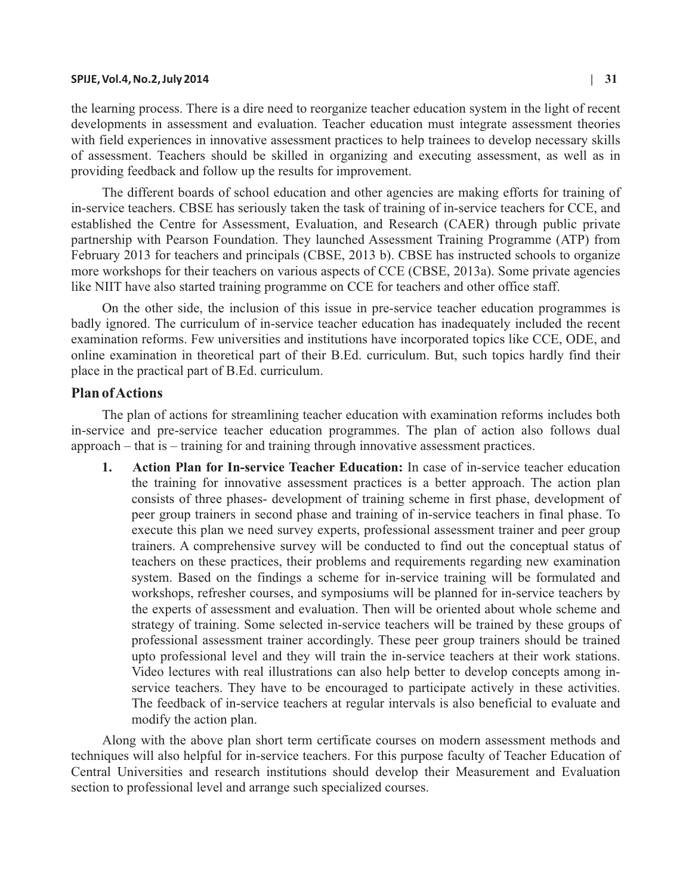#### **SPIJE, Vol.4, No.2, July 2014 | 31**

the learning process. There is a dire need to reorganize teacher education system in the light of recent developments in assessment and evaluation. Teacher education must integrate assessment theories with field experiences in innovative assessment practices to help trainees to develop necessary skills of assessment. Teachers should be skilled in organizing and executing assessment, as well as in providing feedback and follow up the results for improvement.

The different boards of school education and other agencies are making efforts for training of in-service teachers. CBSE has seriously taken the task of training of in-service teachers for CCE, and established the Centre for Assessment, Evaluation, and Research (CAER) through public private partnership with Pearson Foundation. They launched Assessment Training Programme (ATP) from February 2013 for teachers and principals (CBSE, 2013 b). CBSE has instructed schools to organize more workshops for their teachers on various aspects of CCE (CBSE, 2013a). Some private agencies like NIIT have also started training programme on CCE for teachers and other office staff.

On the other side, the inclusion of this issue in pre-service teacher education programmes is badly ignored. The curriculum of in-service teacher education has inadequately included the recent examination reforms. Few universities and institutions have incorporated topics like CCE, ODE, and online examination in theoretical part of their B.Ed. curriculum. But, such topics hardly find their place in the practical part of B.Ed. curriculum.

#### **Plan of Actions**

The plan of actions for streamlining teacher education with examination reforms includes both in-service and pre-service teacher education programmes. The plan of action also follows dual approach – that is – training for and training through innovative assessment practices.

**1. Action Plan for In-service Teacher Education:** In case of in-service teacher education the training for innovative assessment practices is a better approach. The action plan consists of three phases- development of training scheme in first phase, development of peer group trainers in second phase and training of in-service teachers in final phase. To execute this plan we need survey experts, professional assessment trainer and peer group trainers. A comprehensive survey will be conducted to find out the conceptual status of teachers on these practices, their problems and requirements regarding new examination system. Based on the findings a scheme for in-service training will be formulated and workshops, refresher courses, and symposiums will be planned for in-service teachers by the experts of assessment and evaluation. Then will be oriented about whole scheme and strategy of training. Some selected in-service teachers will be trained by these groups of professional assessment trainer accordingly. These peer group trainers should be trained upto professional level and they will train the in-service teachers at their work stations. Video lectures with real illustrations can also help better to develop concepts among inservice teachers. They have to be encouraged to participate actively in these activities. The feedback of in-service teachers at regular intervals is also beneficial to evaluate and modify the action plan.

Along with the above plan short term certificate courses on modern assessment methods and techniques will also helpful for in-service teachers. For this purpose faculty of Teacher Education of Central Universities and research institutions should develop their Measurement and Evaluation section to professional level and arrange such specialized courses.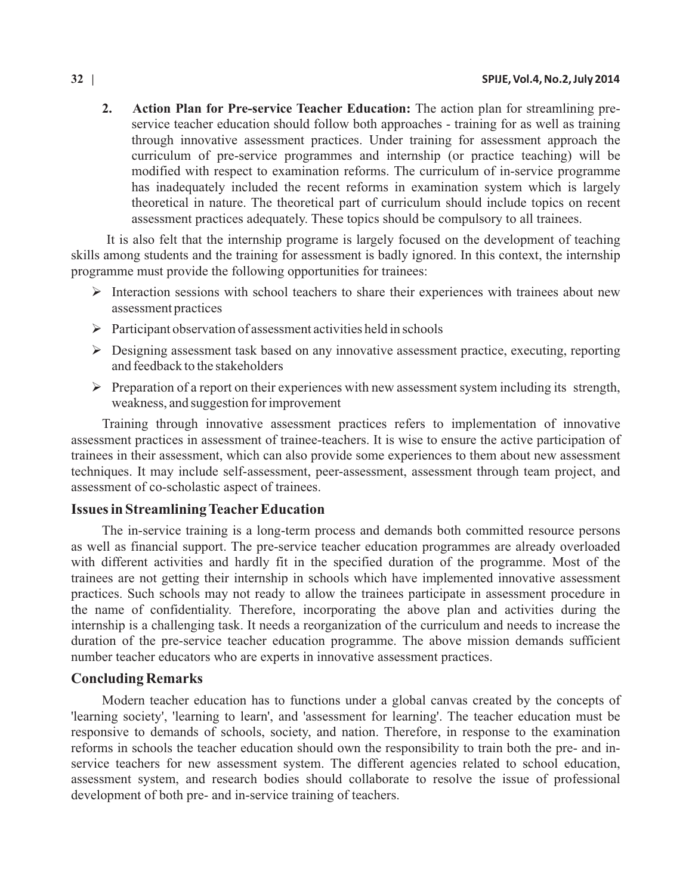**2. Action Plan for Pre-service Teacher Education:** The action plan for streamlining preservice teacher education should follow both approaches - training for as well as training through innovative assessment practices. Under training for assessment approach the curriculum of pre-service programmes and internship (or practice teaching) will be modified with respect to examination reforms. The curriculum of in-service programme has inadequately included the recent reforms in examination system which is largely theoretical in nature. The theoretical part of curriculum should include topics on recent assessment practices adequately. These topics should be compulsory to all trainees.

It is also felt that the internship programe is largely focused on the development of teaching skills among students and the training for assessment is badly ignored. In this context, the internship programme must provide the following opportunities for trainees:

- $\triangleright$  Interaction sessions with school teachers to share their experiences with trainees about new assessment practices
- Ø Participant observation of assessment activities held in schools
- Ø Designing assessment task based on any innovative assessment practice, executing, reporting and feedback to the stakeholders
- Ø Preparation of a report on their experiences with new assessment system including its strength, weakness, and suggestion for improvement

Training through innovative assessment practices refers to implementation of innovative assessment practices in assessment of trainee-teachers. It is wise to ensure the active participation of trainees in their assessment, which can also provide some experiences to them about new assessment techniques. It may include self-assessment, peer-assessment, assessment through team project, and assessment of co-scholastic aspect of trainees.

### **Issues in Streamlining Teacher Education**

The in-service training is a long-term process and demands both committed resource persons as well as financial support. The pre-service teacher education programmes are already overloaded with different activities and hardly fit in the specified duration of the programme. Most of the trainees are not getting their internship in schools which have implemented innovative assessment practices. Such schools may not ready to allow the trainees participate in assessment procedure in the name of confidentiality. Therefore, incorporating the above plan and activities during the internship is a challenging task. It needs a reorganization of the curriculum and needs to increase the duration of the pre-service teacher education programme. The above mission demands sufficient number teacher educators who are experts in innovative assessment practices.

#### **Concluding Remarks**

Modern teacher education has to functions under a global canvas created by the concepts of 'learning society', 'learning to learn', and 'assessment for learning'. The teacher education must be responsive to demands of schools, society, and nation. Therefore, in response to the examination reforms in schools the teacher education should own the responsibility to train both the pre- and inservice teachers for new assessment system. The different agencies related to school education, assessment system, and research bodies should collaborate to resolve the issue of professional development of both pre- and in-service training of teachers.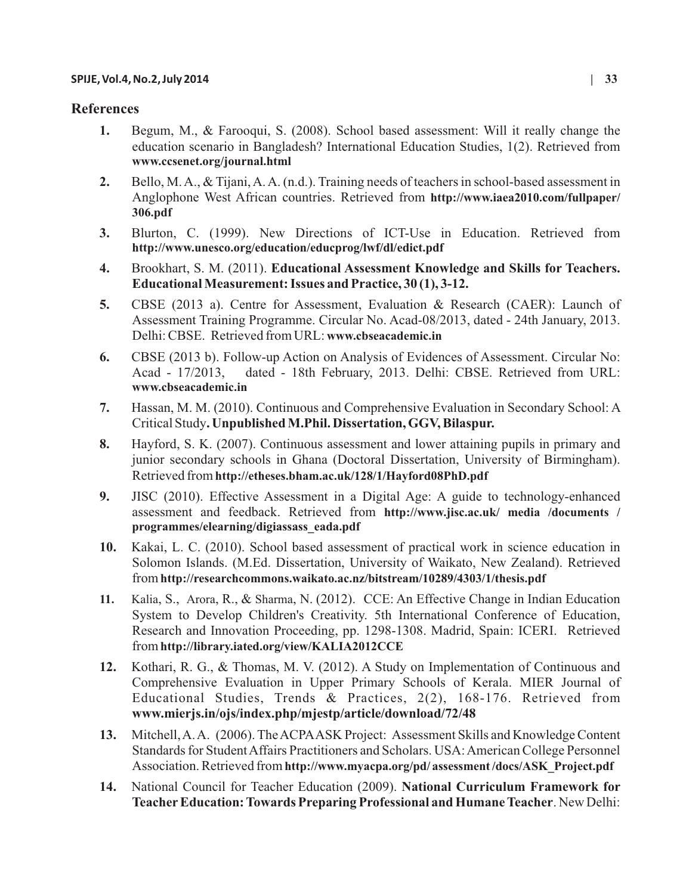# **References**

- **1.** Begum, M., & Farooqui, S. (2008). School based assessment: Will it really change the education scenario in Bangladesh? International Education Studies, 1(2). Retrieved from **www.ccsenet.org/journal.html**
- **2.** Bello, M. A., & Tijani, A. A. (n.d.). Training needs of teachers in school-based assessment in Anglophone West African countries. Retrieved from **http://www.iaea2010.com/fullpaper/ 306.pdf**
- **3.** Blurton, C. (1999). New Directions of ICT-Use in Education. Retrieved from **http://www.unesco.org/education/educprog/lwf/dl/edict.pdf**
- **4.** Brookhart, S. M. (2011). **Educational Assessment Knowledge and Skills for Teachers. Educational Measurement: Issues and Practice, 30 (1), 3-12.**
- **5.** CBSE (2013 a). Centre for Assessment, Evaluation & Research (CAER): Launch of Assessment Training Programme. Circular No. Acad-08/2013, dated - 24th January, 2013. Delhi: CBSE. Retrieved from URL: **www.cbseacademic.in**
- **6.** CBSE (2013 b). Follow-up Action on Analysis of Evidences of Assessment. Circular No: Acad - 17/2013, dated - 18th February, 2013. Delhi: CBSE. Retrieved from URL: **www.cbseacademic.in**
- **7.** Hassan, M. M. (2010). Continuous and Comprehensive Evaluation in Secondary School: A Critical Study**. Unpublished M.Phil. Dissertation, GGV, Bilaspur.**
- **8.** Hayford, S. K. (2007). Continuous assessment and lower attaining pupils in primary and junior secondary schools in Ghana (Doctoral Dissertation, University of Birmingham). Retrieved from **http://etheses.bham.ac.uk/128/1/Hayford08PhD.pdf**
- **9.** JISC (2010). Effective Assessment in a Digital Age: A guide to technology-enhanced assessment and feedback. Retrieved from **http://www.jisc.ac.uk/ media /documents / programmes/elearning/digiassass\_eada.pdf**
- **10.** Kakai, L. C. (2010). School based assessment of practical work in science education in Solomon Islands. (M.Ed. Dissertation, University of Waikato, New Zealand). Retrieved from **http://researchcommons.waikato.ac.nz/bitstream/10289/4303/1/thesis.pdf**
- **11.** Kalia, S., Arora, R., & Sharma, N. (2012). CCE: An Effective Change in Indian Education System to Develop Children's Creativity. 5th International Conference of Education, Research and Innovation Proceeding, pp. 1298-1308. Madrid, Spain: ICERI. Retrieved from **http://library.iated.org/view/KALIA2012CCE**
- **12.** Kothari, R. G., & Thomas, M. V. (2012). A Study on Implementation of Continuous and Comprehensive Evaluation in Upper Primary Schools of Kerala. MIER Journal of Educational Studies, Trends & Practices, 2(2), 168-176. Retrieved from **www.mierjs.in/ojs/index.php/mjestp/article/download/72/48**
- **13.** Mitchell, A. A. (2006). The ACPAASK Project: Assessment Skills and Knowledge Content Standards for Student Affairs Practitioners and Scholars. USA: American College Personnel Association. Retrieved from **http://www.myacpa.org/pd/ assessment /docs/ASK\_Project.pdf**
- **14.** National Council for Teacher Education (2009). **National Curriculum Framework for Teacher Education: Towards Preparing Professional and Humane Teacher**. New Delhi: